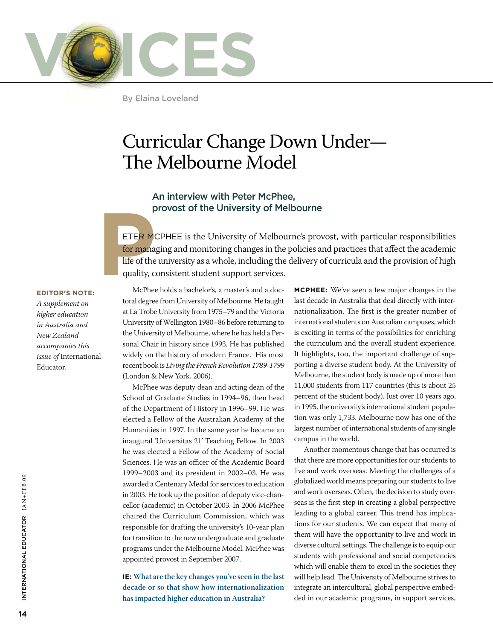

By Elaina Loveland

## Curricular Change Down Under— The Melbourne Model

#### An interview with Peter McPhee, provost of the University of Melbourne

**P**<br>ETER Me<br>for mana<br>life of the<br>quality, c ETER MCPHEE is the University of Melbourne's provost, with particular responsibilities for managing and monitoring changes in the policies and practices that affect the academic life of the university as a whole, including the delivery of curricula and the provision of high quality, consistent student support services.

#### **Editor's Note:**

*A supplement on higher education in Australia and New Zealand accompanies this issue of* International Educator.

McPhee holds a bachelor's, a master's and a doctoral degree from University of Melbourne. He taught at La Trobe University from 1975–79 and the Victoria University of Wellington 1980–86 before returning to the University of Melbourne, where he has held a Personal Chair in history since 1993. He has published widely on the history of modern France. His most recent book is *Living the French Revolution 1789-1799* (London & New York, 2006).

McPhee was deputy dean and acting dean of the School of Graduate Studies in 1994–96, then head of the Department of History in 1996–99. He was elected a Fellow of the Australian Academy of the Humanities in 1997. In the same year he became an inaugural 'Universitas 21' Teaching Fellow. In 2003 he was elected a Fellow of the Academy of Social Sciences. He was an officer of the Academic Board 1999–2003 and its president in 2002–03. He was awarded a Centenary Medal for services to education in 2003. He took up the position of deputy vice-chancellor (academic) in October 2003. In 2006 McPhee chaired the Curriculum Commission, which was responsible for drafting the university's 10-year plan for transition to the new undergraduate and graduate programs under the Melbourne Model. McPhee was appointed provost in September 2007.

**IE: What are the key changes you've seen in the last decade or so that show how internationalization has impacted higher education in Australia?**

**McPhee:** We've seen a few major changes in the last decade in Australia that deal directly with internationalization. The first is the greater number of international students on Australian campuses, which is exciting in terms of the possibilities for enriching the curriculum and the overall student experience. It highlights, too, the important challenge of supporting a diverse student body. At the University of Melbourne, the student body is made up of more than 11,000 students from 117 countries (this is about 25 percent of the student body). Just over 10 years ago, in 1995, the university's international student population was only 1,733. Melbourne now has one of the largest number of international students of any single campus in the world.

Another momentous change that has occurred is that there are more opportunities for our students to live and work overseas. Meeting the challenges of a globalized world means preparing our students to live and work overseas. Often, the decision to study overseas is the first step in creating a global perspective leading to a global career. This trend has implications for our students. We can expect that many of them will have the opportunity to live and work in diverse cultural settings. The challenge is to equip our students with professional and social competencies which will enable them to excel in the societies they will help lead. The University of Melbourne strives to integrate an intercultural, global perspective embedded in our academic programs, in support services,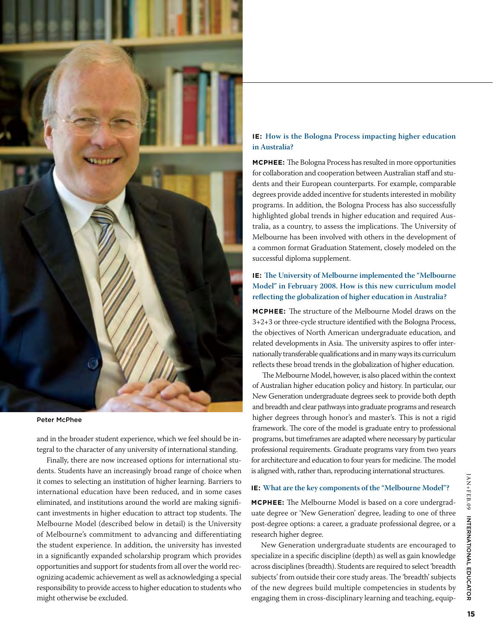

#### Peter McPhee

and in the broader student experience, which we feel should be integral to the character of any university of international standing.

Finally, there are now increased options for international students. Students have an increasingly broad range of choice when it comes to selecting an institution of higher learning. Barriers to international education have been reduced, and in some cases eliminated, and institutions around the world are making significant investments in higher education to attract top students. The Melbourne Model (described below in detail) is the University of Melbourne's commitment to advancing and differentiating the student experience. In addition, the university has invested in a significantly expanded scholarship program which provides opportunities and support for students from all over the world recognizing academic achievement as well as acknowledging a special responsibility to provide access to higher education to students who might otherwise be excluded.

#### **IE: How is the Bologna Process impacting higher education in Australia?**

**McPhee:** The Bologna Process has resulted in more opportunities for collaboration and cooperation between Australian staff and students and their European counterparts. For example, comparable degrees provide added incentive for students interested in mobility programs. In addition, the Bologna Process has also successfully highlighted global trends in higher education and required Australia, as a country, to assess the implications. The University of Melbourne has been involved with others in the development of a common format Graduation Statement, closely modeled on the successful diploma supplement.

#### **IE: The University of Melbourne implemented the "Melbourne Model" in February 2008. How is this new curriculum model reflecting the globalization of higher education in Australia?**

**McPhee:** The structure of the Melbourne Model draws on the 3+2+3 or three-cycle structure identified with the Bologna Process, the objectives of North American undergraduate education, and related developments in Asia. The university aspires to offer internationally transferable qualifications and in many ways its curriculum reflects these broad trends in the globalization of higher education.

The Melbourne Model, however, is also placed within the context of Australian higher education policy and history. In particular, our New Generation undergraduate degrees seek to provide both depth and breadth and clear pathways into graduate programs and research higher degrees through honor's and master's. This is not a rigid framework. The core of the model is graduate entry to professional programs, but timeframes are adapted where necessary by particular professional requirements. Graduate programs vary from two years for architecture and education to four years for medicine. The model is aligned with, rather than, reproducing international structures.

#### **IE: What are the key components of the "Melbourne Model"?**

**McPhee:** The Melbourne Model is based on a core undergraduate degree or 'New Generation' degree, leading to one of three post-degree options: a career, a graduate professional degree, or a research higher degree.

New Generation undergraduate students are encouraged to specialize in a specific discipline (depth) as well as gain knowledge across disciplines (breadth). Students are required to select 'breadth subjects' from outside their core study areas. The 'breadth' subjects of the new degrees build multiple competencies in students by engaging them in cross-disciplinary learning and teaching, equip-